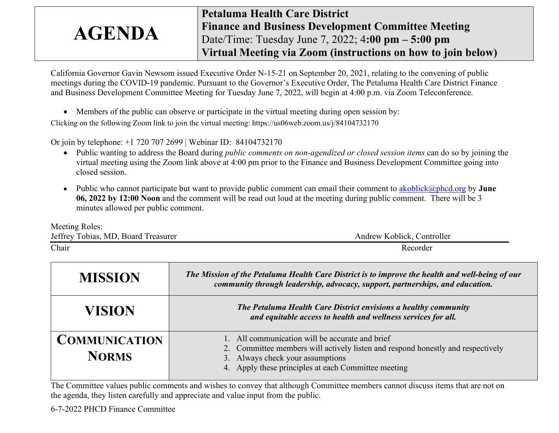## **AGENDA Petaluma Health Care District Finance and Business Development Committee Meeting** Date/Time: Tuesday June 7, 2022; 4**:00 pm – 5:00 pm Virtual Meeting via Zoom (instructions on how to join below)**

California Governor Gavin Newsom issued Executive Order N-15-21 on September 20, 2021, relating to the convening of public meetings during the COVID-19 pandemic. Pursuant to the Governor's Executive Order, The Petaluma Health Care District Finance and Business Development Committee Meeting for Tuesday June 7, 2022, will begin at 4:00 p.m. via Zoom Teleconference.

• Members of the public can observe or participate in the virtual meeting during open session by:

Clicking on the following Zoom link to join the virtual meeting: https://us06web.zoom.us/j/84104732170

Or join by telephone: +1 720 707 2699 | Webinar ID: 84104732170

- Public wanting to address the Board during *public comments on non-agendized or closed session items* can do so by joining the virtual meeting using the Zoom link above at 4:00 pm prior to the Finance and Business Development Committee going into closed session.
- Public who cannot participate but want to provide public comment can email their comment to [akoblick@phcd.org](mailto:akoblick@phcd.org) by **June 06, 2022 by 12:00 Noon** and the comment will be read out loud at the meeting during public comment. There will be 3 minutes allowed per public comment.

Meeting Roles: Jeffrey Tobias, MD, Board Treasurer Andrew Koblick, Controller Chair Recorder

| <b>MISSION</b>                       | The Mission of the Petaluma Health Care District is to improve the health and well-being of our<br>community through leadership, advocacy, support, partnerships, and education.                                              |  |  |  |
|--------------------------------------|-------------------------------------------------------------------------------------------------------------------------------------------------------------------------------------------------------------------------------|--|--|--|
| VISION                               | The Petaluma Health Care District envisions a healthy community<br>and equitable access to health and wellness services for all.                                                                                              |  |  |  |
| <b>COMMUNICATION</b><br><b>NORMS</b> | 1. All communication will be accurate and brief<br>2. Committee members will actively listen and respond honestly and respectively<br>3. Always check your assumptions<br>4. Apply these principles at each Committee meeting |  |  |  |

The Committee values public comments and wishes to convey that although Committee members cannot discuss items that are not on the agenda, they listen carefully and appreciate and value input from the public.

6-7-2022 PHCD Finance Committee 1